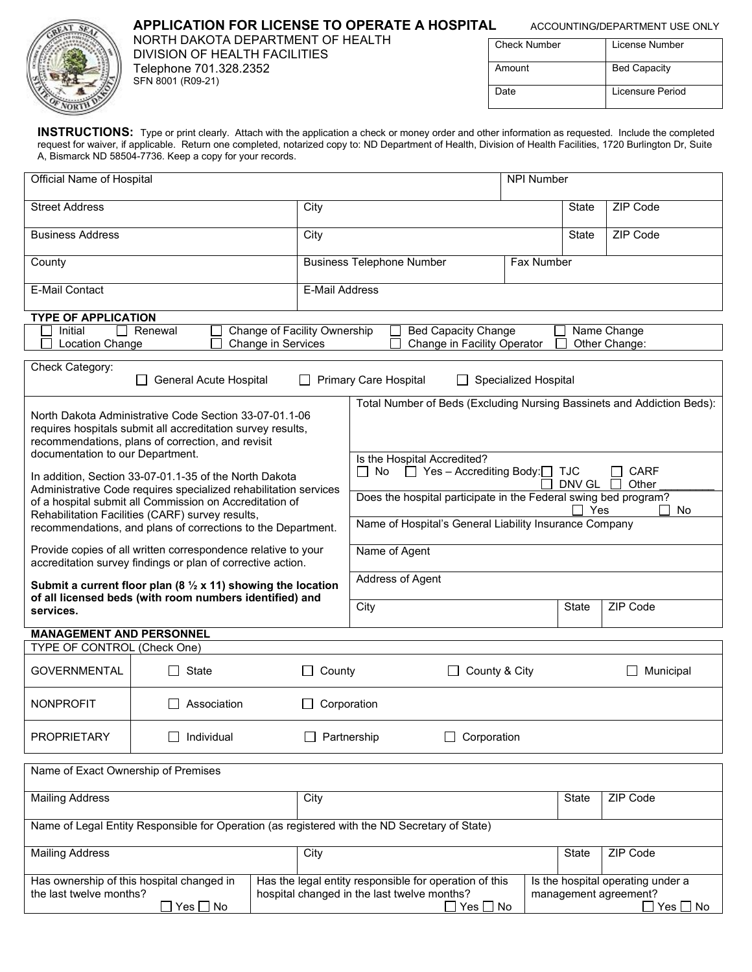# **APPLICATION FOR LICENSE TO OPERATE A HOSPITAL ACCOUNTING/DEPARTMENT USE ONLY**

NORTH DAKOTA DEPARTMENT OF HEALTH DIVISION OF HEALTH FACILITIES Telephone 701.328.2352 SFN 8001 (R09-21)

| <b>Check Number</b> | License Number      |
|---------------------|---------------------|
| Amount              | <b>Bed Capacity</b> |
| Date                | Licensure Period    |

**INSTRUCTIONS:** Type or print clearly. Attach with the application a check or money order and other information as requested. Include the completed request for waiver, if applicable. Return one completed, notarized copy to: ND Department of Health, Division of Health Facilities, 1720 Burlington Dr, Suite A, Bismarck ND 58504-7736. Keep a copy for your records.

| Official Name of Hospital                                                                                                                                                       |                                                                                                                                                                            |                  |                                                                                                                        | <b>NPI Number</b>    |              |                                                                         |
|---------------------------------------------------------------------------------------------------------------------------------------------------------------------------------|----------------------------------------------------------------------------------------------------------------------------------------------------------------------------|------------------|------------------------------------------------------------------------------------------------------------------------|----------------------|--------------|-------------------------------------------------------------------------|
| <b>Street Address</b>                                                                                                                                                           |                                                                                                                                                                            | City             |                                                                                                                        |                      | State        | ZIP Code                                                                |
| <b>Business Address</b>                                                                                                                                                         |                                                                                                                                                                            | City             |                                                                                                                        |                      | <b>State</b> | ZIP Code                                                                |
| County                                                                                                                                                                          |                                                                                                                                                                            |                  | <b>Business Telephone Number</b>                                                                                       | Fax Number           |              |                                                                         |
| <b>E-Mail Contact</b><br><b>E-Mail Address</b>                                                                                                                                  |                                                                                                                                                                            |                  |                                                                                                                        |                      |              |                                                                         |
| <b>TYPE OF APPLICATION</b>                                                                                                                                                      |                                                                                                                                                                            |                  |                                                                                                                        |                      |              |                                                                         |
| Initial<br><b>Location Change</b>                                                                                                                                               | Change of Facility Ownership<br>Renewal<br>Change in Services                                                                                                              |                  | <b>Bed Capacity Change</b><br>Change in Facility Operator                                                              |                      |              | Name Change<br>Other Change:                                            |
|                                                                                                                                                                                 |                                                                                                                                                                            |                  |                                                                                                                        |                      |              |                                                                         |
| Check Category:                                                                                                                                                                 | General Acute Hospital                                                                                                                                                     |                  | Primary Care Hospital                                                                                                  | Specialized Hospital |              |                                                                         |
|                                                                                                                                                                                 |                                                                                                                                                                            |                  | Total Number of Beds (Excluding Nursing Bassinets and Addiction Beds):                                                 |                      |              |                                                                         |
|                                                                                                                                                                                 | North Dakota Administrative Code Section 33-07-01.1-06<br>requires hospitals submit all accreditation survey results,<br>recommendations, plans of correction, and revisit |                  |                                                                                                                        |                      |              |                                                                         |
| documentation to our Department.                                                                                                                                                |                                                                                                                                                                            |                  | Is the Hospital Accredited?                                                                                            |                      |              |                                                                         |
|                                                                                                                                                                                 |                                                                                                                                                                            |                  | $\Box$ Yes - Accrediting Body: $\Box$ TJC<br>$\Box$ No                                                                 |                      |              | CARF                                                                    |
|                                                                                                                                                                                 | In addition, Section 33-07-01.1-35 of the North Dakota                                                                                                                     |                  |                                                                                                                        |                      | DNV GL       | Other<br>$\Box$                                                         |
| Administrative Code requires specialized rehabilitation services<br>of a hospital submit all Commission on Accreditation of<br>Rehabilitation Facilities (CARF) survey results, |                                                                                                                                                                            |                  | Does the hospital participate in the Federal swing bed program?<br>Yes<br>No                                           |                      |              |                                                                         |
|                                                                                                                                                                                 | recommendations, and plans of corrections to the Department.                                                                                                               |                  | Name of Hospital's General Liability Insurance Company                                                                 |                      |              |                                                                         |
|                                                                                                                                                                                 | Provide copies of all written correspondence relative to your<br>accreditation survey findings or plan of corrective action.                                               |                  | Name of Agent                                                                                                          |                      |              |                                                                         |
|                                                                                                                                                                                 | Submit a current floor plan (8 $\frac{1}{2}$ x 11) showing the location<br>of all licensed beds (with room numbers identified) and                                         |                  | Address of Agent                                                                                                       |                      |              |                                                                         |
| services.                                                                                                                                                                       |                                                                                                                                                                            |                  | City                                                                                                                   |                      | <b>State</b> | ZIP Code                                                                |
| <b>MANAGEMENT AND PERSONNEL</b>                                                                                                                                                 |                                                                                                                                                                            |                  |                                                                                                                        |                      |              |                                                                         |
| <b>TYPE OF CONTROL (Check One)</b>                                                                                                                                              |                                                                                                                                                                            |                  |                                                                                                                        |                      |              |                                                                         |
| <b>GOVERNMENTAL</b>                                                                                                                                                             | State                                                                                                                                                                      | County<br>$\Box$ | $\Box$ County & City                                                                                                   |                      |              | Municipal                                                               |
| <b>NONPROFIT</b>                                                                                                                                                                | Association                                                                                                                                                                |                  | Corporation                                                                                                            |                      |              |                                                                         |
| <b>PROPRIETARY</b>                                                                                                                                                              | Individual                                                                                                                                                                 |                  | Partnership<br>Corporation                                                                                             |                      |              |                                                                         |
| Name of Exact Ownership of Premises                                                                                                                                             |                                                                                                                                                                            |                  |                                                                                                                        |                      |              |                                                                         |
| <b>Mailing Address</b><br>City                                                                                                                                                  |                                                                                                                                                                            |                  |                                                                                                                        |                      | State        | ZIP Code                                                                |
| Name of Legal Entity Responsible for Operation (as registered with the ND Secretary of State)                                                                                   |                                                                                                                                                                            |                  |                                                                                                                        |                      |              |                                                                         |
| <b>Mailing Address</b>                                                                                                                                                          |                                                                                                                                                                            | City             |                                                                                                                        |                      | State        | ZIP Code                                                                |
| the last twelve months?                                                                                                                                                         | Has ownership of this hospital changed in<br>]Yes □ No                                                                                                                     |                  | Has the legal entity responsible for operation of this<br>hospital changed in the last twelve months?<br>$Yes \Box No$ |                      |              | Is the hospital operating under a<br>management agreement?<br>]Yes □ No |
|                                                                                                                                                                                 |                                                                                                                                                                            |                  |                                                                                                                        |                      |              |                                                                         |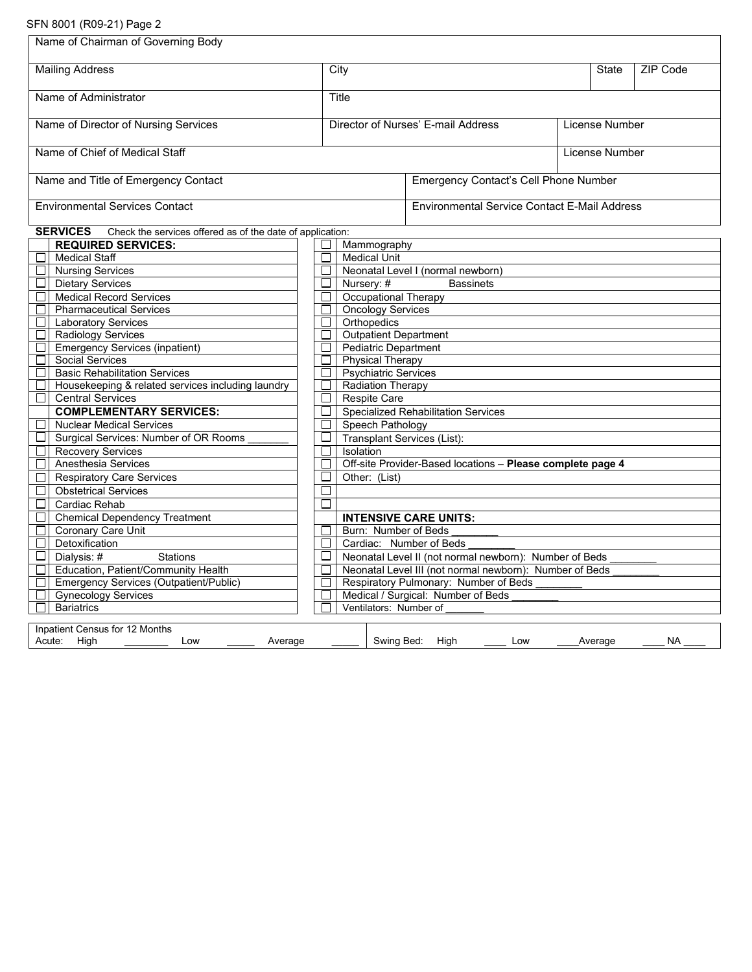## SFN 8001 (R09-21) Page 2

| Name of Chairman of Governing Body                                           |                                                                        |                             |                                                            |     |  |                |                 |
|------------------------------------------------------------------------------|------------------------------------------------------------------------|-----------------------------|------------------------------------------------------------|-----|--|----------------|-----------------|
| <b>Mailing Address</b>                                                       |                                                                        | City                        |                                                            |     |  | State          | <b>ZIP Code</b> |
| Name of Administrator                                                        |                                                                        | Title                       |                                                            |     |  |                |                 |
| Name of Director of Nursing Services                                         |                                                                        |                             | Director of Nurses' E-mail Address                         |     |  | License Number |                 |
| Name of Chief of Medical Staff                                               |                                                                        |                             |                                                            |     |  | License Number |                 |
| Name and Title of Emergency Contact                                          |                                                                        |                             | Emergency Contact's Cell Phone Number                      |     |  |                |                 |
| <b>Environmental Services Contact</b>                                        |                                                                        |                             | <b>Environmental Service Contact E-Mail Address</b>        |     |  |                |                 |
| <b>SERVICES</b><br>Check the services offered as of the date of application: |                                                                        |                             |                                                            |     |  |                |                 |
| <b>REQUIRED SERVICES:</b>                                                    | $\Box$                                                                 | Mammography                 |                                                            |     |  |                |                 |
| <b>Medical Staff</b>                                                         | П.                                                                     | <b>Medical Unit</b>         |                                                            |     |  |                |                 |
| <b>Nursing Services</b>                                                      | П.                                                                     |                             | Neonatal Level I (normal newborn)                          |     |  |                |                 |
| $\Box$<br><b>Dietary Services</b>                                            | □                                                                      | Nursery: #                  | <b>Bassinets</b>                                           |     |  |                |                 |
| <b>Medical Record Services</b>                                               | $\Box$                                                                 | <b>Occupational Therapy</b> |                                                            |     |  |                |                 |
| <b>Pharmaceutical Services</b>                                               | $\Box$                                                                 | <b>Oncology Services</b>    |                                                            |     |  |                |                 |
| □<br><b>Laboratory Services</b>                                              | $\Box$                                                                 | Orthopedics                 |                                                            |     |  |                |                 |
| <b>Radiology Services</b><br>□                                               | <b>Outpatient Department</b><br>$\Box$                                 |                             |                                                            |     |  |                |                 |
| <b>Emergency Services (inpatient)</b><br>$\Box$                              | <b>Pediatric Department</b><br>$\Box$                                  |                             |                                                            |     |  |                |                 |
| <b>Social Services</b>                                                       | $\Box$<br><b>Physical Therapy</b>                                      |                             |                                                            |     |  |                |                 |
| <b>Basic Rehabilitation Services</b>                                         | $\Box$<br><b>Psychiatric Services</b>                                  |                             |                                                            |     |  |                |                 |
| Housekeeping & related services including laundry                            | $\Box$                                                                 | <b>Radiation Therapy</b>    |                                                            |     |  |                |                 |
| <b>Central Services</b><br>$\Box$                                            | П<br><b>Respite Care</b><br><b>Specialized Rehabilitation Services</b> |                             |                                                            |     |  |                |                 |
| <b>COMPLEMENTARY SERVICES:</b>                                               | $\Box$                                                                 |                             |                                                            |     |  |                |                 |
| <b>Nuclear Medical Services</b>                                              | П<br>Speech Pathology<br>□                                             |                             |                                                            |     |  |                |                 |
| Surgical Services: Number of OR Rooms                                        | Transplant Services (List):                                            |                             |                                                            |     |  |                |                 |
| <b>Recovery Services</b>                                                     | $\Box$                                                                 | Isolation                   |                                                            |     |  |                |                 |
| Anesthesia Services<br>$\Box$                                                | П                                                                      |                             | Off-site Provider-Based locations - Please complete page 4 |     |  |                |                 |
| <b>Respiratory Care Services</b><br>□                                        | □                                                                      | Other: (List)               |                                                            |     |  |                |                 |
| <b>Obstetrical Services</b><br>$\Box$                                        | $\Box$                                                                 |                             |                                                            |     |  |                |                 |
| Cardiac Rehab                                                                | П                                                                      |                             |                                                            |     |  |                |                 |
| <b>Chemical Dependency Treatment</b><br>ப                                    |                                                                        |                             | <b>INTENSIVE CARE UNITS:</b>                               |     |  |                |                 |
| <b>Coronary Care Unit</b><br>$\Box$                                          | Burn: Number of Beds<br>П                                              |                             |                                                            |     |  |                |                 |
| $\Box$<br>Detoxification                                                     | $\Box$<br>Cardiac: Number of Beds                                      |                             |                                                            |     |  |                |                 |
| $\Box$<br>Dialysis: #<br><b>Stations</b>                                     | □<br>Neonatal Level II (not normal newborn): Number of Beds            |                             |                                                            |     |  |                |                 |
| Education, Patient/Community Health                                          | $\Box$<br>Neonatal Level III (not normal newborn): Number of Beds      |                             |                                                            |     |  |                |                 |
| <b>Emergency Services (Outpatient/Public)</b>                                | Respiratory Pulmonary: Number of Beds<br>$\Box$                        |                             |                                                            |     |  |                |                 |
| <b>Gynecology Services</b><br>$\Box$                                         | Medical / Surgical: Number of Beds<br>П.                               |                             |                                                            |     |  |                |                 |
| <b>Bariatrics</b><br>Ventilators: Number of                                  |                                                                        |                             |                                                            |     |  |                |                 |
| Inpatient Census for 12 Months<br>Acute: High<br>Low<br>Average              |                                                                        | Swing Bed:                  | High                                                       | Low |  | Average        | <b>NA</b>       |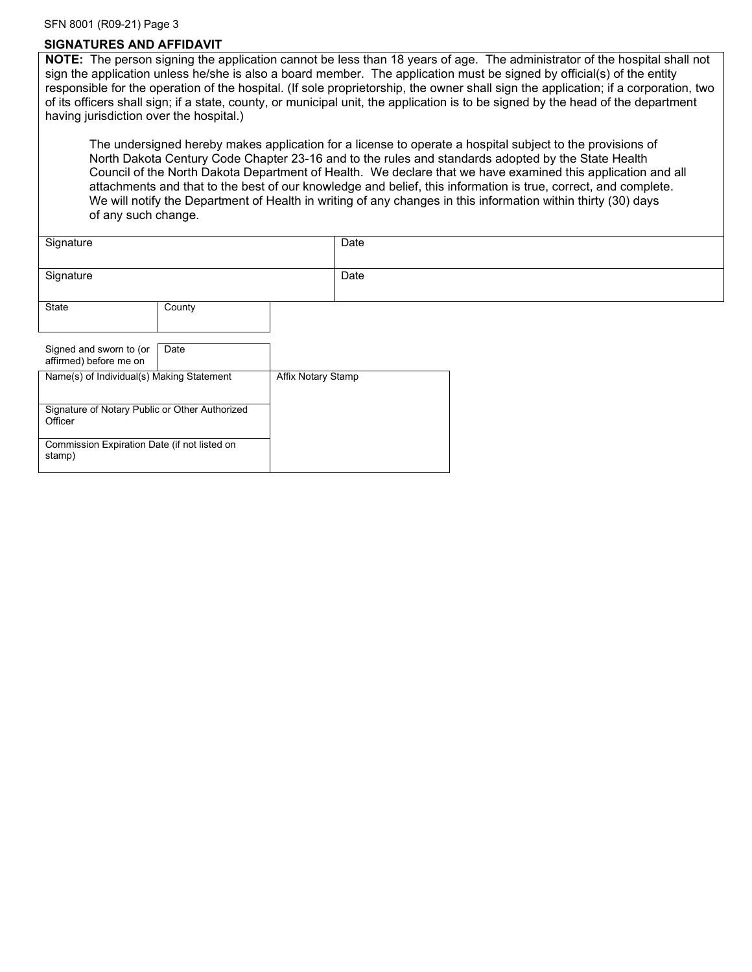#### SFN 8001 (R09-21) Page 3

### **SIGNATURES AND AFFIDAVIT**

**NOTE:** The person signing the application cannot be less than 18 years of age. The administrator of the hospital shall not sign the application unless he/she is also a board member. The application must be signed by official(s) of the entity responsible for the operation of the hospital. (If sole proprietorship, the owner shall sign the application; if a corporation, two of its officers shall sign; if a state, county, or municipal unit, the application is to be signed by the head of the department having jurisdiction over the hospital.)

 The undersigned hereby makes application for a license to operate a hospital subject to the provisions of North Dakota Century Code Chapter 23-16 and to the rules and standards adopted by the State Health Council of the North Dakota Department of Health. We declare that we have examined this application and all attachments and that to the best of our knowledge and belief, this information is true, correct, and complete. We will notify the Department of Health in writing of any changes in this information within thirty (30) days of any such change.

| Signature                                                 |        |                    | Date |  |  |
|-----------------------------------------------------------|--------|--------------------|------|--|--|
| Signature                                                 |        |                    | Date |  |  |
| State                                                     | County |                    |      |  |  |
| Signed and sworn to (or<br>affirmed) before me on         | Date   |                    |      |  |  |
| Name(s) of Individual(s) Making Statement                 |        | Affix Notary Stamp |      |  |  |
| Signature of Notary Public or Other Authorized<br>Officer |        |                    |      |  |  |
| Commission Expiration Date (if not listed on<br>stamp)    |        |                    |      |  |  |